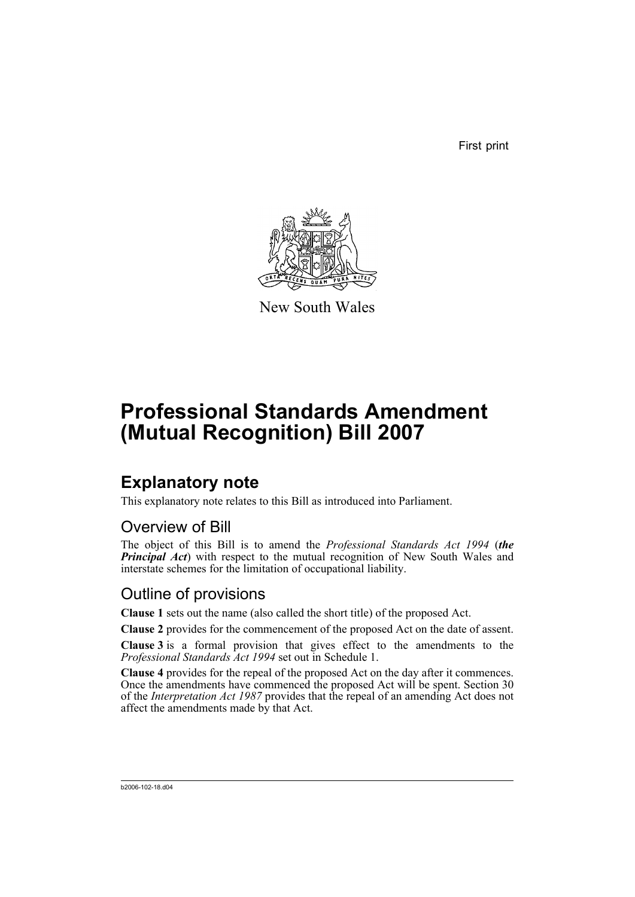First print



New South Wales

# **Professional Standards Amendment (Mutual Recognition) Bill 2007**

## **Explanatory note**

This explanatory note relates to this Bill as introduced into Parliament.

### Overview of Bill

The object of this Bill is to amend the *Professional Standards Act 1994* (*the* **Principal Act**) with respect to the mutual recognition of New South Wales and interstate schemes for the limitation of occupational liability.

### Outline of provisions

**Clause 1** sets out the name (also called the short title) of the proposed Act.

**Clause 2** provides for the commencement of the proposed Act on the date of assent.

**Clause 3** is a formal provision that gives effect to the amendments to the *Professional Standards Act 1994* set out in Schedule 1.

**Clause 4** provides for the repeal of the proposed Act on the day after it commences. Once the amendments have commenced the proposed Act will be spent. Section 30 of the *Interpretation Act 1987* provides that the repeal of an amending Act does not affect the amendments made by that Act.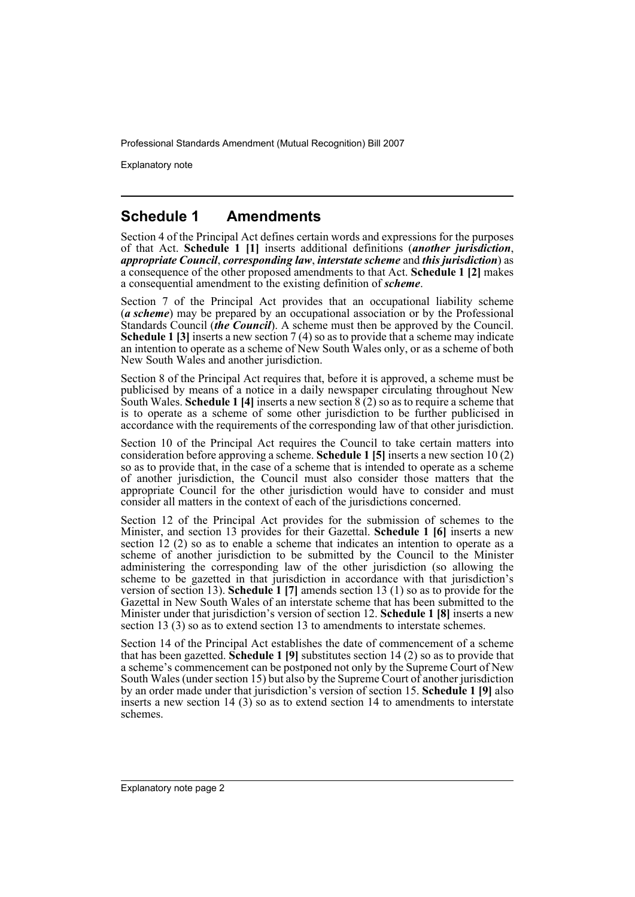Explanatory note

### **Schedule 1 Amendments**

Section 4 of the Principal Act defines certain words and expressions for the purposes of that Act. **Schedule 1 [1]** inserts additional definitions (*another jurisdiction*, *appropriate Council*, *corresponding law*, *interstate scheme* and *this jurisdiction*) as a consequence of the other proposed amendments to that Act. **Schedule 1 [2]** makes a consequential amendment to the existing definition of *scheme*.

Section 7 of the Principal Act provides that an occupational liability scheme (*a scheme*) may be prepared by an occupational association or by the Professional Standards Council (*the Council*). A scheme must then be approved by the Council. **Schedule 1 [3]** inserts a new section 7 (4) so as to provide that a scheme may indicate an intention to operate as a scheme of New South Wales only, or as a scheme of both New South Wales and another jurisdiction.

Section 8 of the Principal Act requires that, before it is approved, a scheme must be publicised by means of a notice in a daily newspaper circulating throughout New South Wales. **Schedule 1 [4]** inserts a new section 8 (2) so as to require a scheme that is to operate as a scheme of some other jurisdiction to be further publicised in accordance with the requirements of the corresponding law of that other jurisdiction.

Section 10 of the Principal Act requires the Council to take certain matters into consideration before approving a scheme. **Schedule 1 [5]** inserts a new section 10 (2) so as to provide that, in the case of a scheme that is intended to operate as a scheme of another jurisdiction, the Council must also consider those matters that the appropriate Council for the other jurisdiction would have to consider and must consider all matters in the context of each of the jurisdictions concerned.

Section 12 of the Principal Act provides for the submission of schemes to the Minister, and section 13 provides for their Gazettal. **Schedule 1 [6]** inserts a new section 12 (2) so as to enable a scheme that indicates an intention to operate as a scheme of another jurisdiction to be submitted by the Council to the Minister administering the corresponding law of the other jurisdiction (so allowing the scheme to be gazetted in that jurisdiction in accordance with that jurisdiction's version of section 13). **Schedule 1 [7]** amends section 13 (1) so as to provide for the Gazettal in New South Wales of an interstate scheme that has been submitted to the Minister under that jurisdiction's version of section 12. **Schedule 1 [8]** inserts a new section 13 (3) so as to extend section 13 to amendments to interstate schemes.

Section 14 of the Principal Act establishes the date of commencement of a scheme that has been gazetted. **Schedule 1 [9]** substitutes section 14 (2) so as to provide that a scheme's commencement can be postponed not only by the Supreme Court of New South Wales (under section 15) but also by the Supreme Court of another jurisdiction by an order made under that jurisdiction's version of section 15. **Schedule 1 [9]** also inserts a new section 14 (3) so as to extend section 14 to amendments to interstate schemes.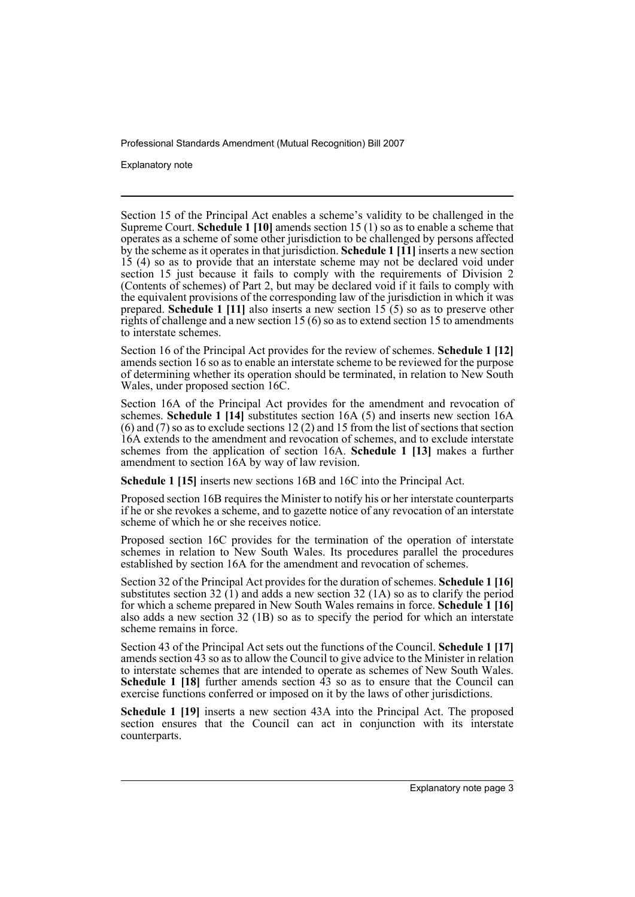Explanatory note

Section 15 of the Principal Act enables a scheme's validity to be challenged in the Supreme Court. **Schedule 1 [10]** amends section 15 (1) so as to enable a scheme that operates as a scheme of some other jurisdiction to be challenged by persons affected by the scheme as it operates in that jurisdiction. **Schedule 1 [11]** inserts a new section 15 (4) so as to provide that an interstate scheme may not be declared void under section 15 just because it fails to comply with the requirements of Division 2 (Contents of schemes) of Part 2, but may be declared void if it fails to comply with the equivalent provisions of the corresponding law of the jurisdiction in which it was prepared. **Schedule 1 [11]** also inserts a new section 15 (5) so as to preserve other rights of challenge and a new section 15 (6) so as to extend section 15 to amendments to interstate schemes.

Section 16 of the Principal Act provides for the review of schemes. **Schedule 1 [12]** amends section 16 so as to enable an interstate scheme to be reviewed for the purpose of determining whether its operation should be terminated, in relation to New South Wales, under proposed section 16C.

Section 16A of the Principal Act provides for the amendment and revocation of schemes. **Schedule 1 [14]** substitutes section 16A (5) and inserts new section 16A (6) and (7) so as to exclude sections 12 (2) and 15 from the list of sections that section 16A extends to the amendment and revocation of schemes, and to exclude interstate schemes from the application of section 16A. **Schedule 1 [13]** makes a further amendment to section 16A by way of law revision.

**Schedule 1 [15]** inserts new sections 16B and 16C into the Principal Act.

Proposed section 16B requires the Minister to notify his or her interstate counterparts if he or she revokes a scheme, and to gazette notice of any revocation of an interstate scheme of which he or she receives notice.

Proposed section 16C provides for the termination of the operation of interstate schemes in relation to New South Wales. Its procedures parallel the procedures established by section 16A for the amendment and revocation of schemes.

Section 32 of the Principal Act provides for the duration of schemes. **Schedule 1 [16]** substitutes section 32  $(1)$  and adds a new section 32  $(1)$  so as to clarify the period for which a scheme prepared in New South Wales remains in force. **Schedule 1 [16]** also adds a new section 32 (1B) so as to specify the period for which an interstate scheme remains in force.

Section 43 of the Principal Act sets out the functions of the Council. **Schedule 1 [17]** amends section 43 so as to allow the Council to give advice to the Minister in relation to interstate schemes that are intended to operate as schemes of New South Wales. **Schedule 1 [18]** further amends section  $\hat{4}$  so as to ensure that the Council can exercise functions conferred or imposed on it by the laws of other jurisdictions.

**Schedule 1 [19]** inserts a new section 43A into the Principal Act. The proposed section ensures that the Council can act in conjunction with its interstate counterparts.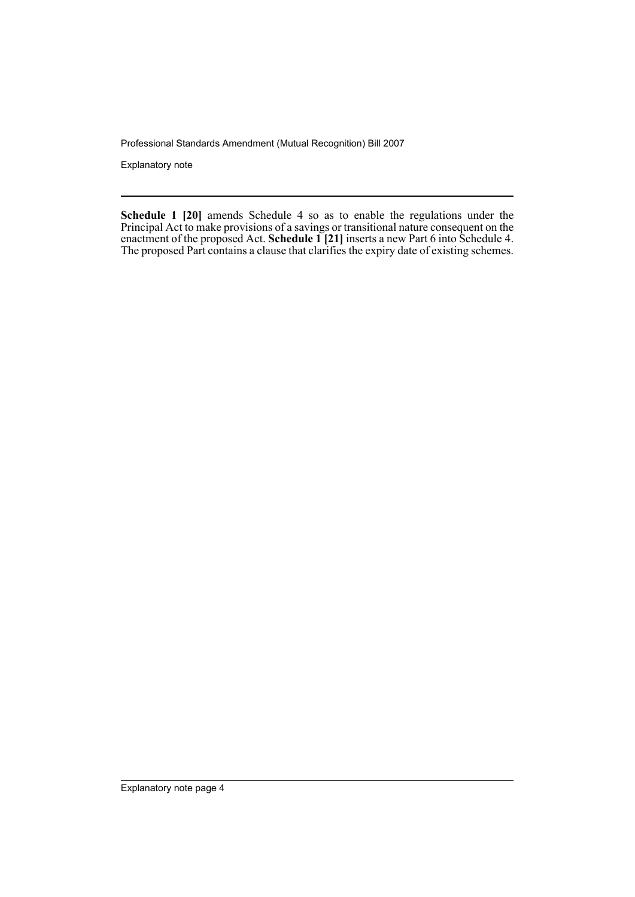Explanatory note

**Schedule 1 [20]** amends Schedule 4 so as to enable the regulations under the Principal Act to make provisions of a savings or transitional nature consequent on the enactment of the proposed Act. **Schedule 1 [21]** inserts a new Part 6 into Schedule 4. The proposed Part contains a clause that clarifies the expiry date of existing schemes.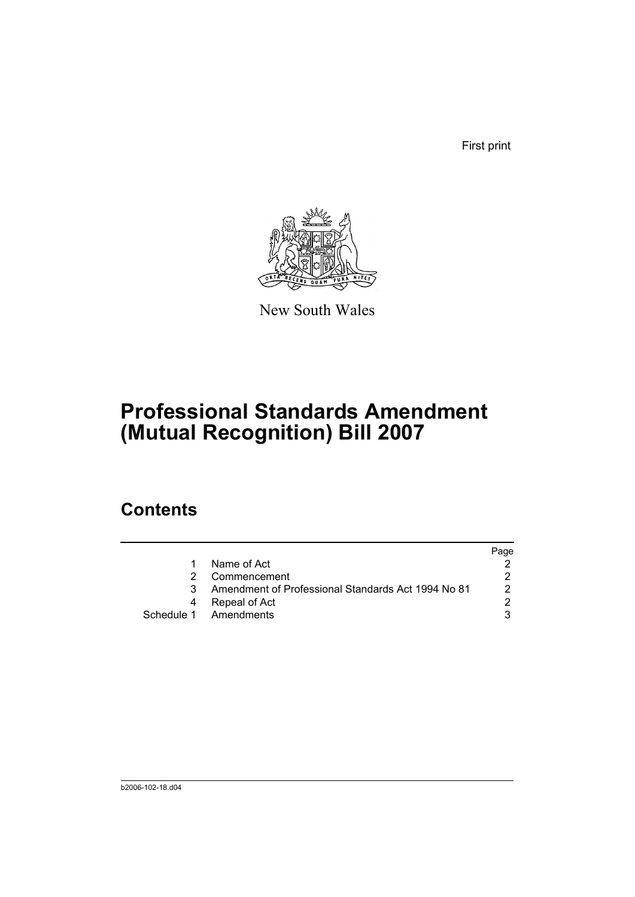First print



New South Wales

# **Professional Standards Amendment (Mutual Recognition) Bill 2007**

## **Contents**

|    |                                                    | Page |
|----|----------------------------------------------------|------|
|    | Name of Act                                        |      |
|    | Commencement                                       |      |
| 3. | Amendment of Professional Standards Act 1994 No 81 | 2    |
|    | Repeal of Act                                      |      |
|    | Schedule 1 Amendments                              |      |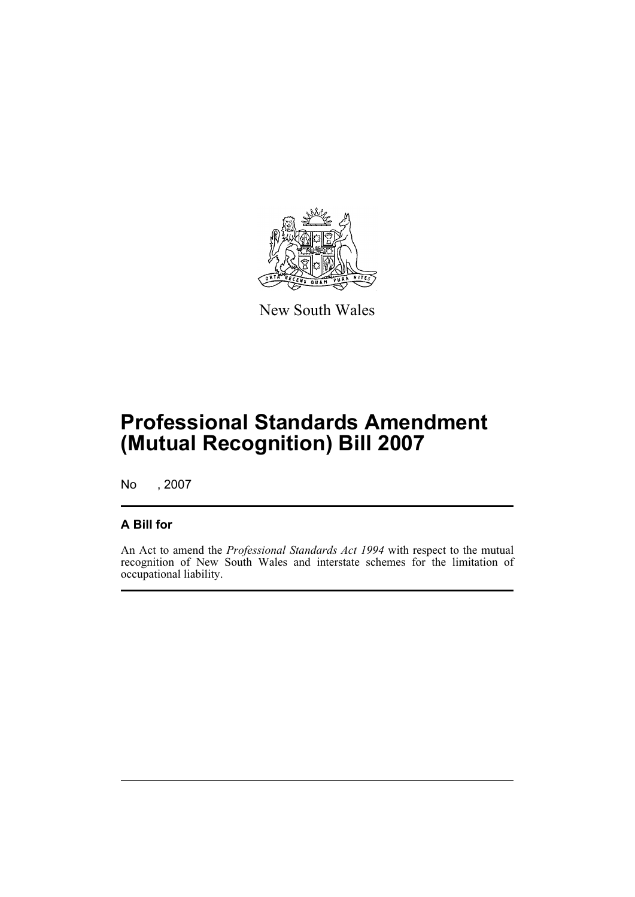

New South Wales

# **Professional Standards Amendment (Mutual Recognition) Bill 2007**

No , 2007

### **A Bill for**

An Act to amend the *Professional Standards Act 1994* with respect to the mutual recognition of New South Wales and interstate schemes for the limitation of occupational liability.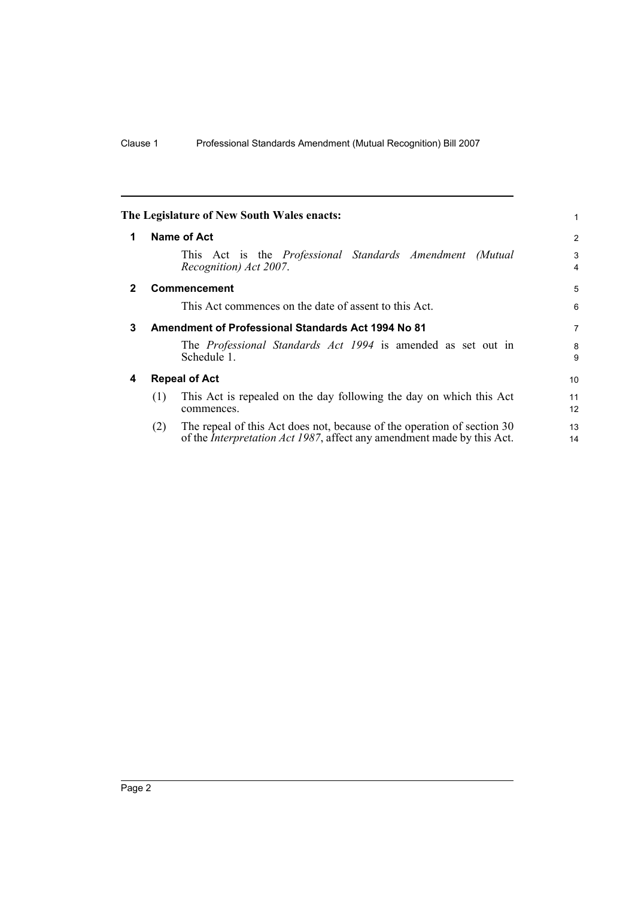<span id="page-7-3"></span><span id="page-7-2"></span><span id="page-7-1"></span><span id="page-7-0"></span>

|              |                                                    | The Legislature of New South Wales enacts:                                                                                                                | 1        |
|--------------|----------------------------------------------------|-----------------------------------------------------------------------------------------------------------------------------------------------------------|----------|
| 1            |                                                    | Name of Act                                                                                                                                               | 2        |
|              |                                                    | This Act is the <i>Professional Standards Amendment</i><br>(Mutual<br>Recognition) Act 2007.                                                              | 3<br>4   |
| $\mathbf{2}$ |                                                    | <b>Commencement</b>                                                                                                                                       | 5        |
|              |                                                    | This Act commences on the date of assent to this Act.                                                                                                     | 6        |
| 3            | Amendment of Professional Standards Act 1994 No 81 |                                                                                                                                                           | 7        |
|              |                                                    | The <i>Professional Standards Act 1994</i> is amended as set out in<br>Schedule 1.                                                                        | 8<br>9   |
| 4            | <b>Repeal of Act</b>                               |                                                                                                                                                           | 10       |
|              | (1)                                                | This Act is repealed on the day following the day on which this Act<br>commences.                                                                         | 11<br>12 |
|              | (2)                                                | The repeal of this Act does not, because of the operation of section 30<br>of the <i>Interpretation Act 1987</i> , affect any amendment made by this Act. | 13<br>14 |
|              |                                                    |                                                                                                                                                           |          |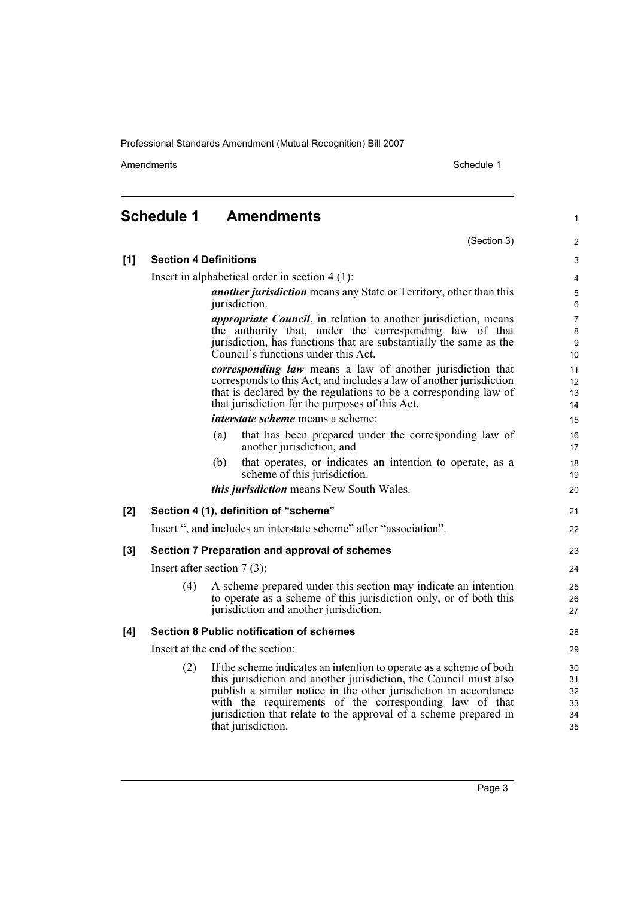Amendments Schedule 1

(Section 3)

1

2

## <span id="page-8-0"></span>**Schedule 1 Amendments**

| [1]   | <b>Section 4 Definitions</b>                                                                                                                                                                                                                             |                                                                                                                                                                                                                                                                                                                                                                  |                                  |  |  |
|-------|----------------------------------------------------------------------------------------------------------------------------------------------------------------------------------------------------------------------------------------------------------|------------------------------------------------------------------------------------------------------------------------------------------------------------------------------------------------------------------------------------------------------------------------------------------------------------------------------------------------------------------|----------------------------------|--|--|
|       | Insert in alphabetical order in section $4(1)$ :                                                                                                                                                                                                         |                                                                                                                                                                                                                                                                                                                                                                  |                                  |  |  |
|       |                                                                                                                                                                                                                                                          | <i>another jurisdiction</i> means any State or Territory, other than this<br>jurisdiction.                                                                                                                                                                                                                                                                       |                                  |  |  |
|       | <i>appropriate Council</i> , in relation to another jurisdiction, means<br>the authority that, under the corresponding law of that<br>jurisdiction, has functions that are substantially the same as the<br>Council's functions under this Act.          |                                                                                                                                                                                                                                                                                                                                                                  |                                  |  |  |
|       | corresponding law means a law of another jurisdiction that<br>corresponds to this Act, and includes a law of another jurisdiction<br>that is declared by the regulations to be a corresponding law of<br>that jurisdiction for the purposes of this Act. |                                                                                                                                                                                                                                                                                                                                                                  |                                  |  |  |
|       |                                                                                                                                                                                                                                                          | <i>interstate scheme</i> means a scheme:                                                                                                                                                                                                                                                                                                                         | 15                               |  |  |
|       |                                                                                                                                                                                                                                                          | that has been prepared under the corresponding law of<br>(a)<br>another jurisdiction, and                                                                                                                                                                                                                                                                        | 16<br>17                         |  |  |
|       |                                                                                                                                                                                                                                                          | that operates, or indicates an intention to operate, as a<br>(b)<br>scheme of this jurisdiction.                                                                                                                                                                                                                                                                 | 18<br>19                         |  |  |
|       |                                                                                                                                                                                                                                                          | <i>this jurisdiction</i> means New South Wales.                                                                                                                                                                                                                                                                                                                  | 20                               |  |  |
| [2]   |                                                                                                                                                                                                                                                          | Section 4 (1), definition of "scheme"                                                                                                                                                                                                                                                                                                                            | 21                               |  |  |
|       |                                                                                                                                                                                                                                                          | Insert ", and includes an interstate scheme" after "association".                                                                                                                                                                                                                                                                                                | 22                               |  |  |
| $[3]$ | Section 7 Preparation and approval of schemes                                                                                                                                                                                                            |                                                                                                                                                                                                                                                                                                                                                                  |                                  |  |  |
|       | Insert after section $7(3)$ :                                                                                                                                                                                                                            |                                                                                                                                                                                                                                                                                                                                                                  |                                  |  |  |
|       | (4)                                                                                                                                                                                                                                                      | A scheme prepared under this section may indicate an intention<br>to operate as a scheme of this jurisdiction only, or of both this<br>jurisdiction and another jurisdiction.                                                                                                                                                                                    | 25<br>26<br>27                   |  |  |
| [4]   |                                                                                                                                                                                                                                                          | <b>Section 8 Public notification of schemes</b>                                                                                                                                                                                                                                                                                                                  | 28                               |  |  |
|       | Insert at the end of the section:                                                                                                                                                                                                                        |                                                                                                                                                                                                                                                                                                                                                                  |                                  |  |  |
|       | (2)                                                                                                                                                                                                                                                      | If the scheme indicates an intention to operate as a scheme of both<br>this jurisdiction and another jurisdiction, the Council must also<br>publish a similar notice in the other jurisdiction in accordance<br>with the requirements of the corresponding law of that<br>jurisdiction that relate to the approval of a scheme prepared in<br>that jurisdiction. | 30<br>31<br>32<br>33<br>34<br>35 |  |  |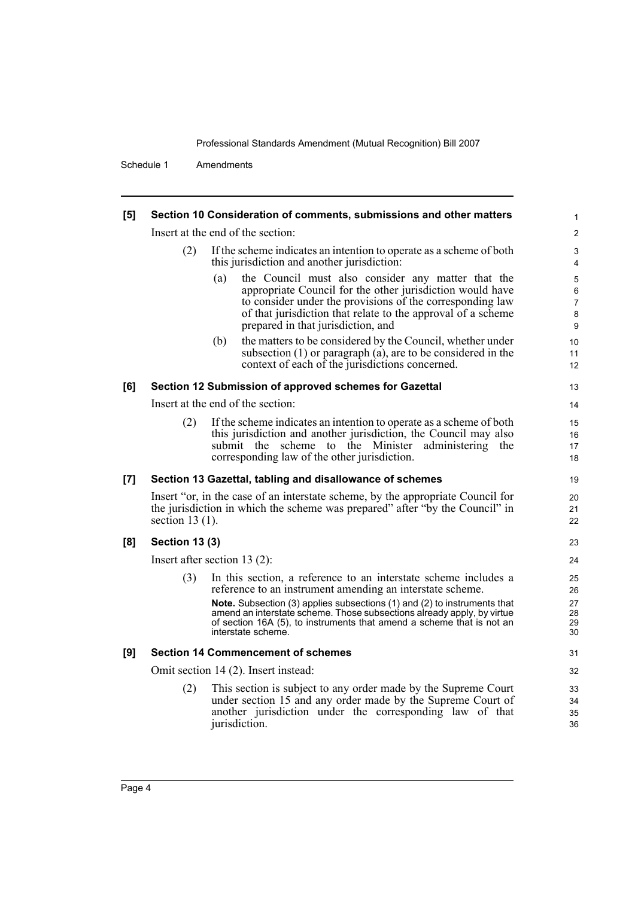Schedule 1 Amendments

| [5]   | Section 10 Consideration of comments, submissions and other matters                                                                                                                  |                                                                                                                                                                                                                                                                                                                                                                                   |                                          |  |  |
|-------|--------------------------------------------------------------------------------------------------------------------------------------------------------------------------------------|-----------------------------------------------------------------------------------------------------------------------------------------------------------------------------------------------------------------------------------------------------------------------------------------------------------------------------------------------------------------------------------|------------------------------------------|--|--|
|       |                                                                                                                                                                                      | Insert at the end of the section:                                                                                                                                                                                                                                                                                                                                                 |                                          |  |  |
|       | (2)<br>If the scheme indicates an intention to operate as a scheme of both<br>this jurisdiction and another jurisdiction:                                                            |                                                                                                                                                                                                                                                                                                                                                                                   |                                          |  |  |
|       |                                                                                                                                                                                      | the Council must also consider any matter that the<br>(a)<br>appropriate Council for the other jurisdiction would have<br>to consider under the provisions of the corresponding law<br>of that jurisdiction that relate to the approval of a scheme<br>prepared in that jurisdiction, and                                                                                         | 5<br>$\,6\,$<br>$\overline{7}$<br>8<br>9 |  |  |
|       |                                                                                                                                                                                      | the matters to be considered by the Council, whether under<br>(b)<br>subsection $(1)$ or paragraph $(a)$ , are to be considered in the<br>context of each of the jurisdictions concerned.                                                                                                                                                                                         | 10<br>11<br>12                           |  |  |
| [6]   |                                                                                                                                                                                      | Section 12 Submission of approved schemes for Gazettal                                                                                                                                                                                                                                                                                                                            | 13                                       |  |  |
|       | Insert at the end of the section:                                                                                                                                                    |                                                                                                                                                                                                                                                                                                                                                                                   |                                          |  |  |
|       | (2)                                                                                                                                                                                  | If the scheme indicates an intention to operate as a scheme of both<br>this jurisdiction and another jurisdiction, the Council may also<br>submit the scheme to the Minister administering the<br>corresponding law of the other jurisdiction.                                                                                                                                    | 15<br>16<br>17<br>18                     |  |  |
| $[7]$ |                                                                                                                                                                                      | Section 13 Gazettal, tabling and disallowance of schemes                                                                                                                                                                                                                                                                                                                          | 19                                       |  |  |
|       | Insert "or, in the case of an interstate scheme, by the appropriate Council for<br>the jurisdiction in which the scheme was prepared" after "by the Council" in<br>section $13(1)$ . |                                                                                                                                                                                                                                                                                                                                                                                   |                                          |  |  |
| [8]   | <b>Section 13 (3)</b>                                                                                                                                                                |                                                                                                                                                                                                                                                                                                                                                                                   | 23                                       |  |  |
|       |                                                                                                                                                                                      | Insert after section 13 $(2)$ :                                                                                                                                                                                                                                                                                                                                                   | 24                                       |  |  |
|       | (3)                                                                                                                                                                                  | In this section, a reference to an interstate scheme includes a<br>reference to an instrument amending an interstate scheme.<br>Note. Subsection (3) applies subsections (1) and (2) to instruments that<br>amend an interstate scheme. Those subsections already apply, by virtue<br>of section 16A (5), to instruments that amend a scheme that is not an<br>interstate scheme. | 25<br>26<br>27<br>28<br>29<br>30         |  |  |
| [9]   |                                                                                                                                                                                      | <b>Section 14 Commencement of schemes</b>                                                                                                                                                                                                                                                                                                                                         | 31                                       |  |  |
|       | Omit section 14 (2). Insert instead:                                                                                                                                                 |                                                                                                                                                                                                                                                                                                                                                                                   |                                          |  |  |
|       | (2)                                                                                                                                                                                  | This section is subject to any order made by the Supreme Court<br>under section 15 and any order made by the Supreme Court of<br>another jurisdiction under the corresponding law of that<br>jurisdiction.                                                                                                                                                                        | 33<br>34<br>35<br>36                     |  |  |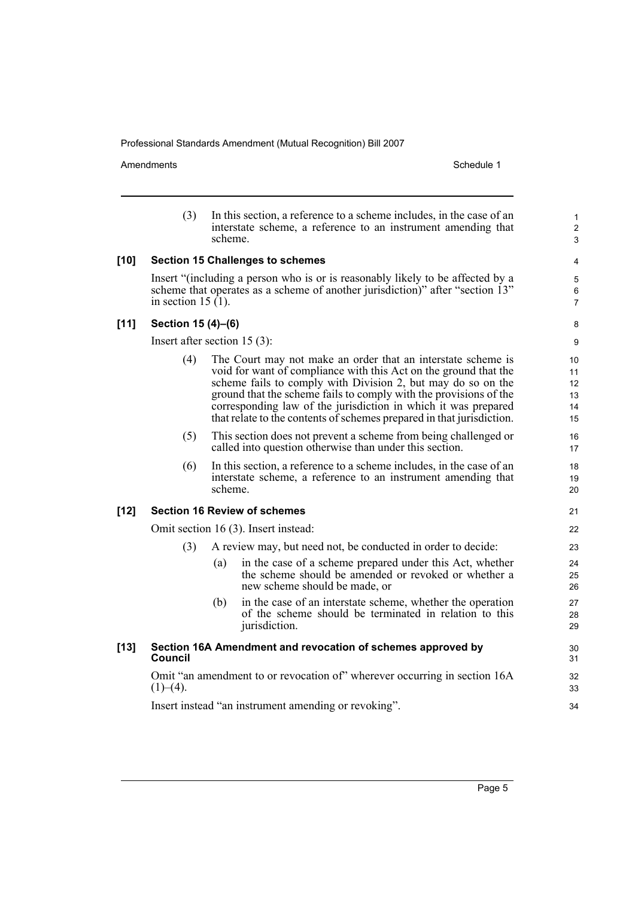Amendments Schedule 1

|        | (3)                                                                                                                                                                                     | scheme. | In this section, a reference to a scheme includes, in the case of an<br>interstate scheme, a reference to an instrument amending that                                                                                                                                                                                                                                                                            |                |
|--------|-----------------------------------------------------------------------------------------------------------------------------------------------------------------------------------------|---------|------------------------------------------------------------------------------------------------------------------------------------------------------------------------------------------------------------------------------------------------------------------------------------------------------------------------------------------------------------------------------------------------------------------|----------------|
| $[10]$ | <b>Section 15 Challenges to schemes</b>                                                                                                                                                 |         |                                                                                                                                                                                                                                                                                                                                                                                                                  |                |
|        | Insert "(including a person who is or is reasonably likely to be affected by a<br>scheme that operates as a scheme of another jurisdiction)" after "section 13"<br>in section $15(1)$ . |         |                                                                                                                                                                                                                                                                                                                                                                                                                  |                |
| $[11]$ | Section 15 (4)-(6)                                                                                                                                                                      |         |                                                                                                                                                                                                                                                                                                                                                                                                                  |                |
|        | Insert after section $15(3)$ :                                                                                                                                                          |         |                                                                                                                                                                                                                                                                                                                                                                                                                  |                |
|        | (4)                                                                                                                                                                                     |         | The Court may not make an order that an interstate scheme is<br>void for want of compliance with this Act on the ground that the<br>scheme fails to comply with Division 2, but may do so on the<br>ground that the scheme fails to comply with the provisions of the<br>corresponding law of the jurisdiction in which it was prepared<br>that relate to the contents of schemes prepared in that jurisdiction. |                |
|        | (5)                                                                                                                                                                                     |         | This section does not prevent a scheme from being challenged or<br>called into question otherwise than under this section.                                                                                                                                                                                                                                                                                       |                |
|        | (6)                                                                                                                                                                                     | scheme. | In this section, a reference to a scheme includes, in the case of an<br>interstate scheme, a reference to an instrument amending that                                                                                                                                                                                                                                                                            | 18<br>19<br>20 |
| $[12]$ | <b>Section 16 Review of schemes</b>                                                                                                                                                     |         |                                                                                                                                                                                                                                                                                                                                                                                                                  |                |
|        | Omit section 16 (3). Insert instead:                                                                                                                                                    |         |                                                                                                                                                                                                                                                                                                                                                                                                                  | 22             |
|        | (3)                                                                                                                                                                                     |         | A review may, but need not, be conducted in order to decide:                                                                                                                                                                                                                                                                                                                                                     | 23             |
|        |                                                                                                                                                                                         | (a)     | in the case of a scheme prepared under this Act, whether<br>the scheme should be amended or revoked or whether a<br>new scheme should be made, or                                                                                                                                                                                                                                                                | 24<br>25<br>26 |
|        |                                                                                                                                                                                         | (b)     | in the case of an interstate scheme, whether the operation<br>of the scheme should be terminated in relation to this<br>jurisdiction.                                                                                                                                                                                                                                                                            | 27<br>28<br>29 |
| $[13]$ | Section 16A Amendment and revocation of schemes approved by<br>Council                                                                                                                  |         |                                                                                                                                                                                                                                                                                                                                                                                                                  |                |
|        | Omit "an amendment to or revocation of" wherever occurring in section 16A<br>$(1)–(4)$ .                                                                                                |         |                                                                                                                                                                                                                                                                                                                                                                                                                  | 32<br>33       |
|        | Insert instead "an instrument amending or revoking".                                                                                                                                    |         |                                                                                                                                                                                                                                                                                                                                                                                                                  | 34             |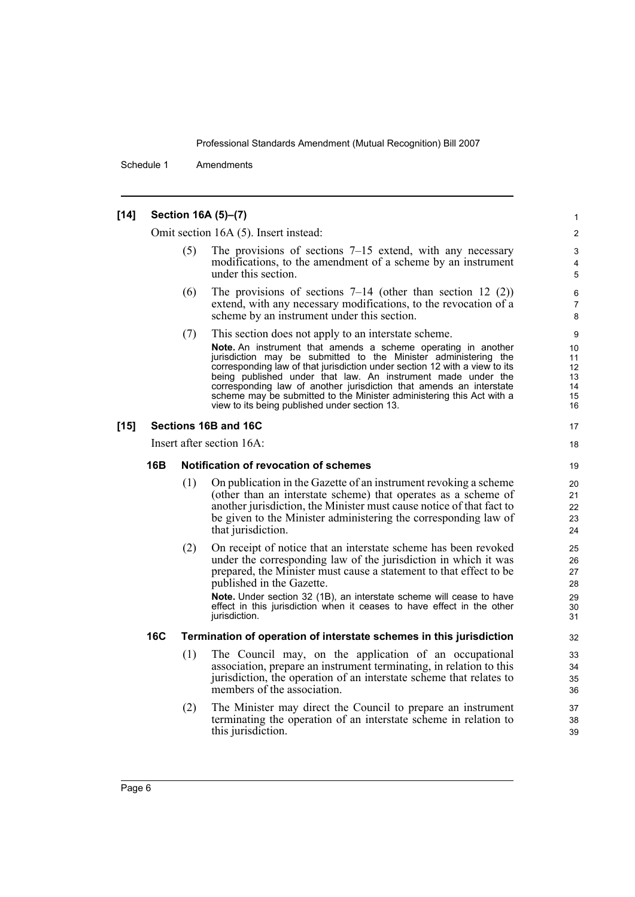Schedule 1 Amendments

#### **[14] Section 16A (5)–(7)**

Omit section 16A (5). Insert instead:

The provisions of sections  $7-15$  extend, with any necessary modifications, to the amendment of a scheme by an instrument under this section.

- (6) The provisions of sections  $7-14$  (other than section 12 (2)) extend, with any necessary modifications, to the revocation of a scheme by an instrument under this section.
- (7) This section does not apply to an interstate scheme. **Note.** An instrument that amends a scheme operating in another jurisdiction may be submitted to the Minister administering the corresponding law of that jurisdiction under section 12 with a view to its being published under that law. An instrument made under the corresponding law of another jurisdiction that amends an interstate scheme may be submitted to the Minister administering this Act with a view to its being published under section 13.

#### **[15] Sections 16B and 16C**

Insert after section 16A:

#### **16B Notification of revocation of schemes**

- (1) On publication in the Gazette of an instrument revoking a scheme (other than an interstate scheme) that operates as a scheme of another jurisdiction, the Minister must cause notice of that fact to be given to the Minister administering the corresponding law of that jurisdiction.
- (2) On receipt of notice that an interstate scheme has been revoked under the corresponding law of the jurisdiction in which it was prepared, the Minister must cause a statement to that effect to be published in the Gazette.

**Note.** Under section 32 (1B), an interstate scheme will cease to have effect in this jurisdiction when it ceases to have effect in the other jurisdiction.

#### **16C Termination of operation of interstate schemes in this jurisdiction**

- (1) The Council may, on the application of an occupational association, prepare an instrument terminating, in relation to this jurisdiction, the operation of an interstate scheme that relates to members of the association.
- (2) The Minister may direct the Council to prepare an instrument terminating the operation of an interstate scheme in relation to this jurisdiction.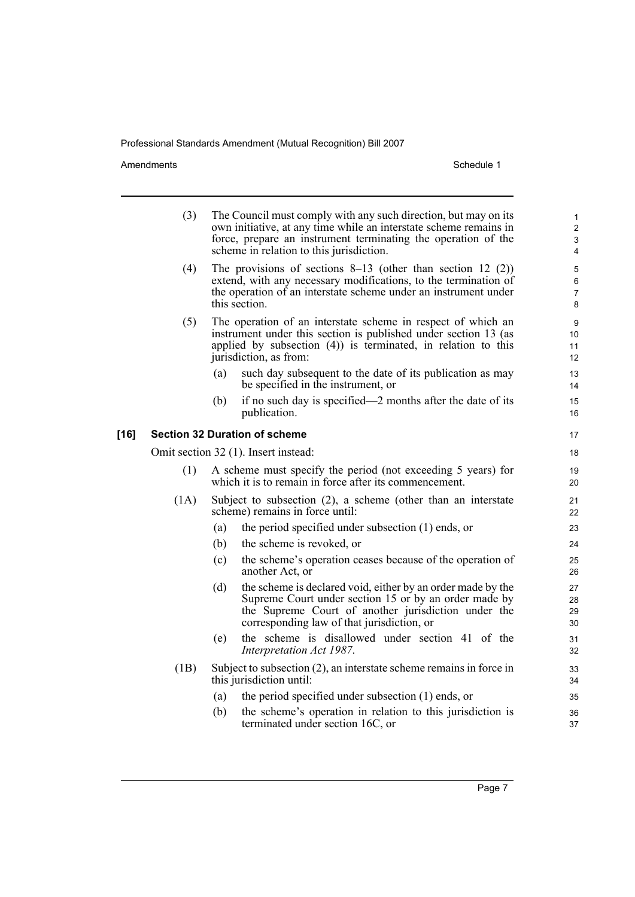Amendments Schedule 1

|        | (3)                                  |                                                                                                                                                                                                                      | The Council must comply with any such direction, but may on its<br>own initiative, at any time while an interstate scheme remains in<br>force, prepare an instrument terminating the operation of the<br>scheme in relation to this jurisdiction. | $\mathbf{1}$<br>$\overline{c}$<br>3<br>$\overline{4}$ |
|--------|--------------------------------------|----------------------------------------------------------------------------------------------------------------------------------------------------------------------------------------------------------------------|---------------------------------------------------------------------------------------------------------------------------------------------------------------------------------------------------------------------------------------------------|-------------------------------------------------------|
|        | (4)                                  | The provisions of sections $8-13$ (other than section 12 (2))<br>extend, with any necessary modifications, to the termination of<br>the operation of an interstate scheme under an instrument under<br>this section. |                                                                                                                                                                                                                                                   |                                                       |
|        | (5)                                  |                                                                                                                                                                                                                      | The operation of an interstate scheme in respect of which an<br>instrument under this section is published under section 13 (as<br>applied by subsection $(4)$ ) is terminated, in relation to this<br>jurisdiction, as from:                     | 9<br>10<br>11<br>12                                   |
|        |                                      | (a)                                                                                                                                                                                                                  | such day subsequent to the date of its publication as may<br>be specified in the instrument, or                                                                                                                                                   | 13<br>14                                              |
|        |                                      | (b)                                                                                                                                                                                                                  | if no such day is specified—2 months after the date of its<br>publication.                                                                                                                                                                        | 15<br>16                                              |
| $[16]$ | <b>Section 32 Duration of scheme</b> |                                                                                                                                                                                                                      |                                                                                                                                                                                                                                                   |                                                       |
|        | Omit section 32 (1). Insert instead: |                                                                                                                                                                                                                      |                                                                                                                                                                                                                                                   | 18                                                    |
|        | (1)                                  | A scheme must specify the period (not exceeding 5 years) for<br>which it is to remain in force after its commencement.                                                                                               |                                                                                                                                                                                                                                                   |                                                       |
|        | (1A)                                 |                                                                                                                                                                                                                      | Subject to subsection $(2)$ , a scheme (other than an interstate<br>scheme) remains in force until:                                                                                                                                               | 21<br>22                                              |
|        |                                      | (a)                                                                                                                                                                                                                  | the period specified under subsection (1) ends, or                                                                                                                                                                                                | 23                                                    |
|        |                                      | (b)                                                                                                                                                                                                                  | the scheme is revoked, or                                                                                                                                                                                                                         | 24                                                    |
|        |                                      | (c)                                                                                                                                                                                                                  | the scheme's operation ceases because of the operation of<br>another Act, or                                                                                                                                                                      | 25<br>26                                              |
|        |                                      | (d)                                                                                                                                                                                                                  | the scheme is declared void, either by an order made by the<br>Supreme Court under section 15 or by an order made by<br>the Supreme Court of another jurisdiction under the<br>corresponding law of that jurisdiction, or                         | 27<br>28<br>29<br>30                                  |
|        |                                      | (e)                                                                                                                                                                                                                  | the scheme is disallowed under section 41 of the<br>Interpretation Act 1987.                                                                                                                                                                      | 31<br>32                                              |
|        | (1B)                                 |                                                                                                                                                                                                                      | Subject to subsection (2), an interstate scheme remains in force in<br>this jurisdiction until:                                                                                                                                                   | 33<br>34                                              |
|        |                                      | (a)                                                                                                                                                                                                                  | the period specified under subsection (1) ends, or                                                                                                                                                                                                | 35                                                    |
|        |                                      | (b)                                                                                                                                                                                                                  | the scheme's operation in relation to this jurisdiction is<br>terminated under section 16C, or                                                                                                                                                    | 36<br>37                                              |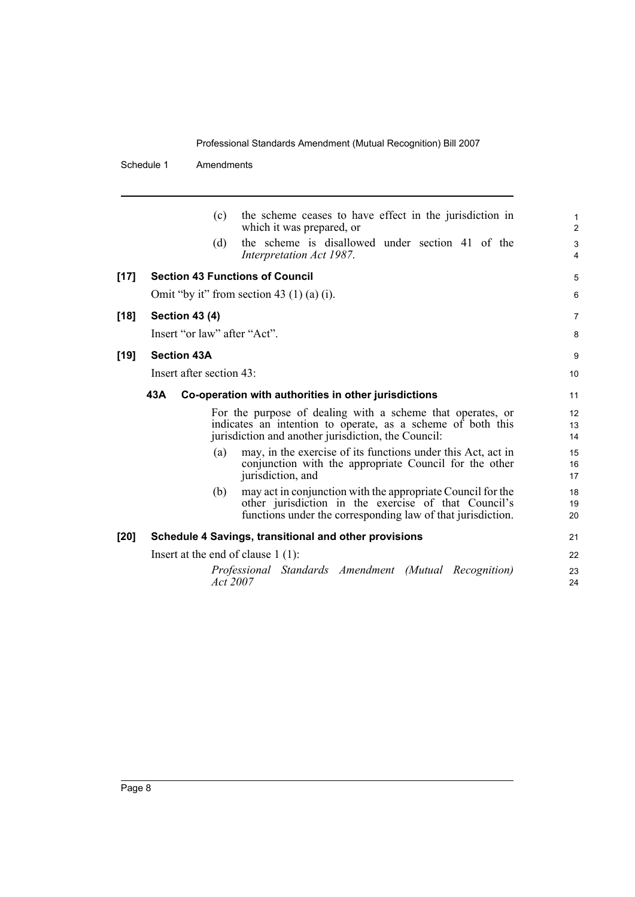Schedule 1 Amendments

|        | (c)                                    | the scheme ceases to have effect in the jurisdiction in<br>which it was prepared, or                                                                                               | 1<br>2         |
|--------|----------------------------------------|------------------------------------------------------------------------------------------------------------------------------------------------------------------------------------|----------------|
|        | (d)                                    | the scheme is disallowed under section 41 of the<br>Interpretation Act 1987.                                                                                                       | 3<br>4         |
| $[17]$ | <b>Section 43 Functions of Council</b> |                                                                                                                                                                                    | 5              |
|        |                                        | Omit "by it" from section 43 $(1)$ (a) $(i)$ .                                                                                                                                     | 6              |
| $[18]$ | <b>Section 43 (4)</b>                  |                                                                                                                                                                                    | $\overline{7}$ |
|        | Insert "or law" after "Act".           |                                                                                                                                                                                    | 8              |
| $[19]$ | <b>Section 43A</b>                     |                                                                                                                                                                                    | 9              |
|        | Insert after section 43:               |                                                                                                                                                                                    | 10             |
|        | 43A                                    | Co-operation with authorities in other jurisdictions                                                                                                                               | 11             |
|        |                                        | For the purpose of dealing with a scheme that operates, or<br>indicates an intention to operate, as a scheme of both this<br>jurisdiction and another jurisdiction, the Council:   | 12<br>13<br>14 |
|        | (a)                                    | may, in the exercise of its functions under this Act, act in<br>conjunction with the appropriate Council for the other<br>jurisdiction, and                                        | 15<br>16<br>17 |
|        | (b)                                    | may act in conjunction with the appropriate Council for the<br>other jurisdiction in the exercise of that Council's<br>functions under the corresponding law of that jurisdiction. | 18<br>19<br>20 |
| [20]   |                                        | Schedule 4 Savings, transitional and other provisions                                                                                                                              | 21             |
|        | Insert at the end of clause $1(1)$ :   |                                                                                                                                                                                    | 22             |
|        | Act 2007                               | Professional Standards Amendment (Mutual Recognition)                                                                                                                              | 23<br>24       |